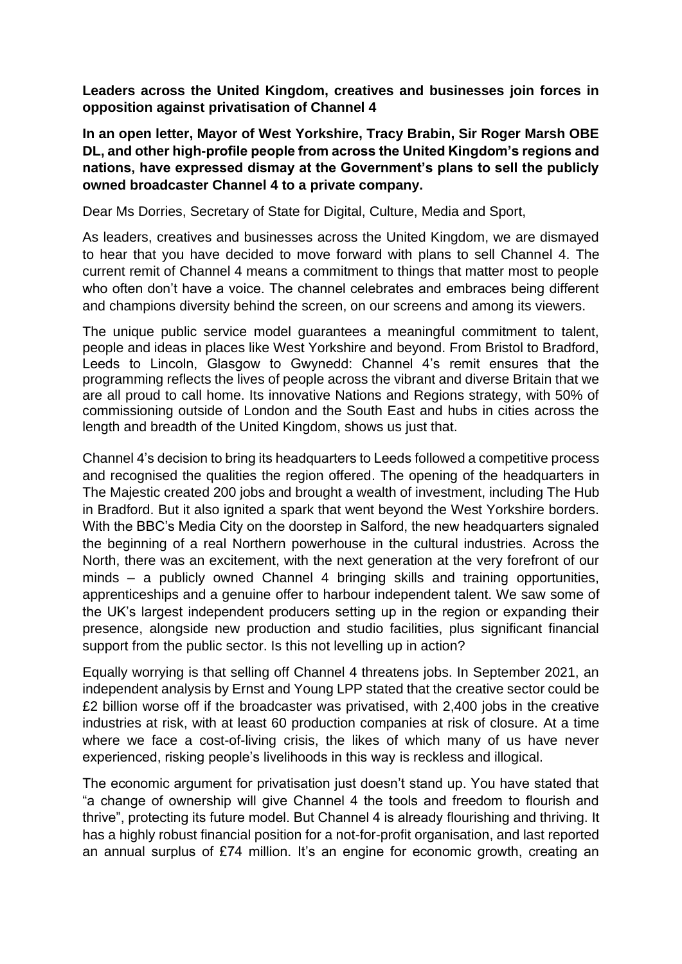**Leaders across the United Kingdom, creatives and businesses join forces in opposition against privatisation of Channel 4** 

**In an open letter, Mayor of West Yorkshire, Tracy Brabin, Sir Roger Marsh OBE DL, and other high-profile people from across the United Kingdom's regions and nations, have expressed dismay at the Government's plans to sell the publicly owned broadcaster Channel 4 to a private company.** 

Dear Ms Dorries, Secretary of State for Digital, Culture, Media and Sport,

As leaders, creatives and businesses across the United Kingdom, we are dismayed to hear that you have decided to move forward with plans to sell Channel 4. The current remit of Channel 4 means a commitment to things that matter most to people who often don't have a voice. The channel celebrates and embraces being different and champions diversity behind the screen, on our screens and among its viewers.

The unique public service model guarantees a meaningful commitment to talent, people and ideas in places like West Yorkshire and beyond. From Bristol to Bradford, Leeds to Lincoln, Glasgow to Gwynedd: Channel 4's remit ensures that the programming reflects the lives of people across the vibrant and diverse Britain that we are all proud to call home. Its innovative Nations and Regions strategy, with 50% of commissioning outside of London and the South East and hubs in cities across the length and breadth of the United Kingdom, shows us just that.

Channel 4's decision to bring its headquarters to Leeds followed a competitive process and recognised the qualities the region offered. The opening of the headquarters in The Majestic created 200 jobs and brought a wealth of investment, including The Hub in Bradford. But it also ignited a spark that went beyond the West Yorkshire borders. With the BBC's Media City on the doorstep in Salford, the new headquarters signaled the beginning of a real Northern powerhouse in the cultural industries. Across the North, there was an excitement, with the next generation at the very forefront of our minds – a publicly owned Channel 4 bringing skills and training opportunities, apprenticeships and a genuine offer to harbour independent talent. We saw some of the UK's largest independent producers setting up in the region or expanding their presence, alongside new production and studio facilities, plus significant financial support from the public sector. Is this not levelling up in action?

Equally worrying is that selling off Channel 4 threatens jobs. In September 2021, an independent analysis by Ernst and Young LPP stated that the creative sector could be £2 billion worse off if the broadcaster was privatised, with 2,400 jobs in the creative industries at risk, with at least 60 production companies at risk of closure. At a time where we face a cost-of-living crisis, the likes of which many of us have never experienced, risking people's livelihoods in this way is reckless and illogical.

The economic argument for privatisation just doesn't stand up. You have stated that "a change of ownership will give Channel 4 the tools and freedom to flourish and thrive", protecting its future model. But Channel 4 is already flourishing and thriving. It has a highly robust financial position for a not-for-profit organisation, and last reported an annual surplus of £74 million. It's an engine for economic growth, creating an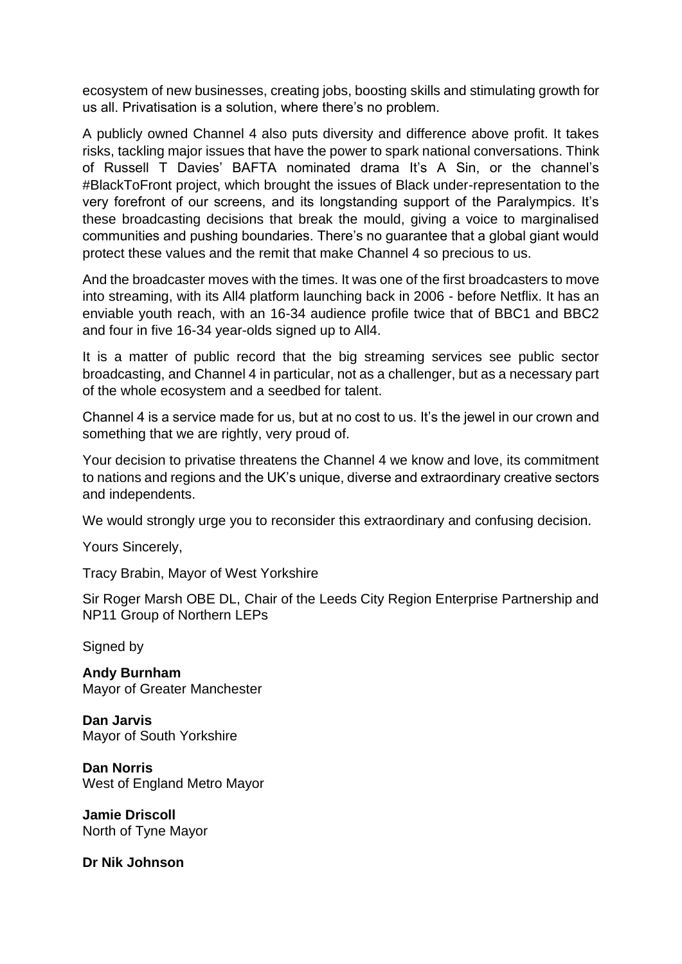ecosystem of new businesses, creating jobs, boosting skills and stimulating growth for us all. Privatisation is a solution, where there's no problem.

A publicly owned Channel 4 also puts diversity and difference above profit. It takes risks, tackling major issues that have the power to spark national conversations. Think of Russell T Davies' BAFTA nominated drama It's A Sin, or the channel's #BlackToFront project, which brought the issues of Black under-representation to the very forefront of our screens, and its longstanding support of the Paralympics. It's these broadcasting decisions that break the mould, giving a voice to marginalised communities and pushing boundaries. There's no guarantee that a global giant would protect these values and the remit that make Channel 4 so precious to us.

And the broadcaster moves with the times. It was one of the first broadcasters to move into streaming, with its All4 platform launching back in 2006 - before Netflix. It has an enviable youth reach, with an 16-34 audience profile twice that of BBC1 and BBC2 and four in five 16-34 year-olds signed up to All4.

It is a matter of public record that the big streaming services see public sector broadcasting, and Channel 4 in particular, not as a challenger, but as a necessary part of the whole ecosystem and a seedbed for talent.

Channel 4 is a service made for us, but at no cost to us. It's the jewel in our crown and something that we are rightly, very proud of.

Your decision to privatise threatens the Channel 4 we know and love, its commitment to nations and regions and the UK's unique, diverse and extraordinary creative sectors and independents.

We would strongly urge you to reconsider this extraordinary and confusing decision.

Yours Sincerely,

Tracy Brabin, Mayor of West Yorkshire

Sir Roger Marsh OBE DL, Chair of the Leeds City Region Enterprise Partnership and NP11 Group of Northern LEPs

Signed by

**Andy Burnham** Mayor of Greater Manchester

**Dan Jarvis** Mayor of South Yorkshire

**Dan Norris** West of England Metro Mayor

**Jamie Driscoll** North of Tyne Mayor

**Dr Nik Johnson**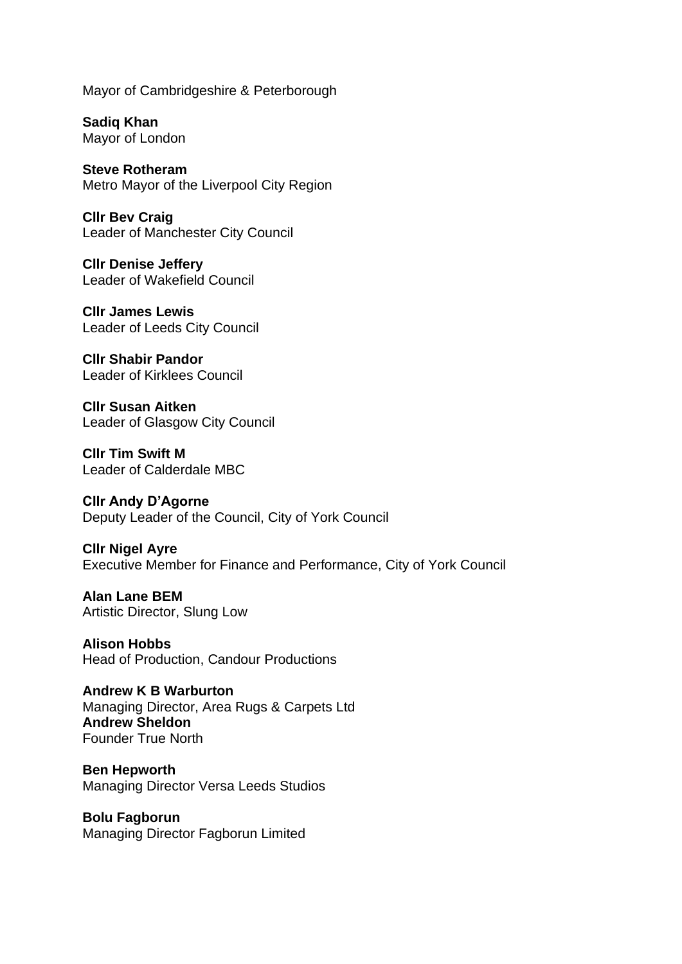Mayor of Cambridgeshire & Peterborough

**Sadiq Khan** Mayor of London

**Steve Rotheram**  Metro Mayor of the Liverpool City Region

**Cllr Bev Craig** Leader of Manchester City Council

**Cllr Denise Jeffery** Leader of Wakefield Council

**Cllr James Lewis** Leader of Leeds City Council

**Cllr Shabir Pandor** Leader of Kirklees Council

**Cllr Susan Aitken** Leader of Glasgow City Council

**Cllr Tim Swift M** Leader of Calderdale MBC

**Cllr Andy D'Agorne** Deputy Leader of the Council, City of York Council

**Cllr Nigel Ayre** Executive Member for Finance and Performance, City of York Council

**Alan Lane BEM** Artistic Director, Slung Low

**Alison Hobbs** Head of Production, Candour Productions

**Andrew K B Warburton** Managing Director, Area Rugs & Carpets Ltd **Andrew Sheldon** Founder True North

**Ben Hepworth** Managing Director Versa Leeds Studios

**Bolu Fagborun** Managing Director Fagborun Limited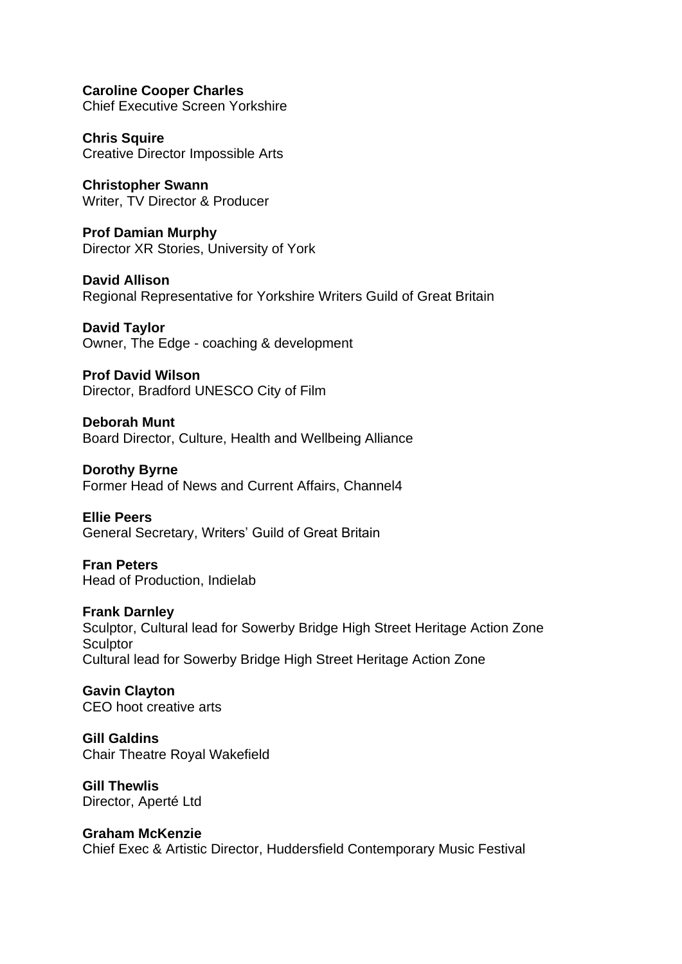**Caroline Cooper Charles** Chief Executive Screen Yorkshire

**Chris Squire**  Creative Director Impossible Arts

**Christopher Swann**  Writer, TV Director & Producer

**Prof Damian Murphy**  Director XR Stories, University of York

**David Allison**  Regional Representative for Yorkshire Writers Guild of Great Britain

**David Taylor** Owner, The Edge - coaching & development

**Prof David Wilson** Director, Bradford UNESCO City of Film

**Deborah Munt** Board Director, Culture, Health and Wellbeing Alliance

**Dorothy Byrne** Former Head of News and Current Affairs, Channel4

**Ellie Peers**  General Secretary, Writers' Guild of Great Britain

**Fran Peters** Head of Production, Indielab

**Frank Darnley**  Sculptor, Cultural lead for Sowerby Bridge High Street Heritage Action Zone **Sculptor** Cultural lead for Sowerby Bridge High Street Heritage Action Zone

**Gavin Clayton** CEO hoot creative arts

**Gill Galdins**  Chair Theatre Royal Wakefield

**Gill Thewlis** Director, Aperté Ltd

**Graham McKenzie**  Chief Exec & Artistic Director, Huddersfield Contemporary Music Festival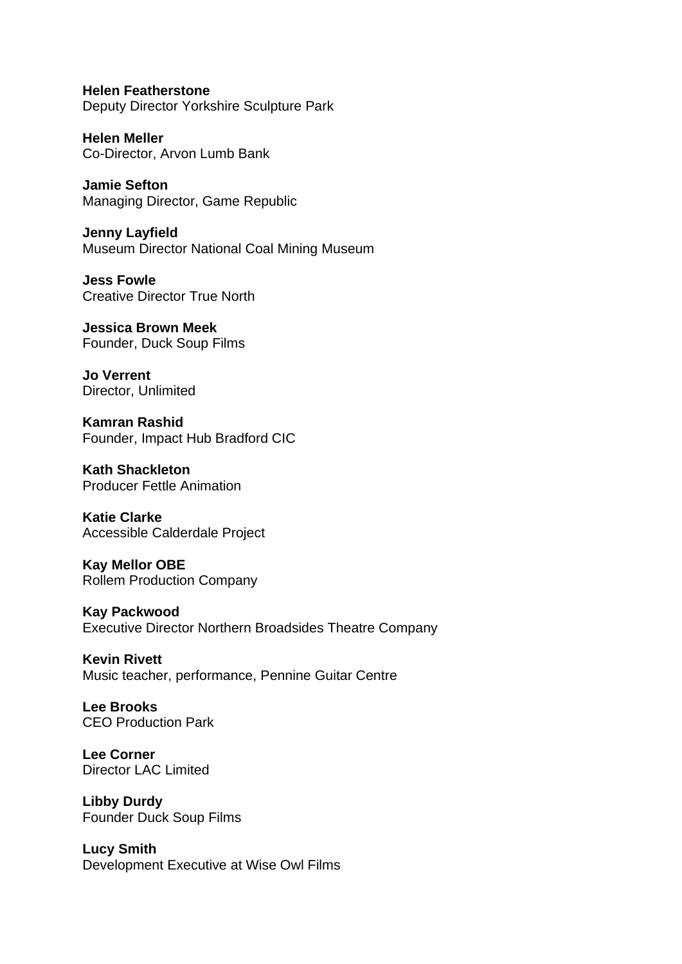**Helen Featherstone** Deputy Director Yorkshire Sculpture Park

**Helen Meller**  Co-Director, Arvon Lumb Bank

**Jamie Sefton**  Managing Director, Game Republic

**Jenny Layfield**  Museum Director National Coal Mining Museum

**Jess Fowle**  Creative Director True North

**Jessica Brown Meek**  Founder, Duck Soup Films

**Jo Verrent**  Director, Unlimited

**Kamran Rashid**  Founder, Impact Hub Bradford CIC

**Kath Shackleton**  Producer Fettle Animation

**Katie Clarke** Accessible Calderdale Project

**Kay Mellor OBE**  Rollem Production Company

**Kay Packwood**  Executive Director Northern Broadsides Theatre Company

**Kevin Rivett** Music teacher, performance, Pennine Guitar Centre

**Lee Brooks**  CEO Production Park

**Lee Corner**  Director LAC Limited

**Libby Durdy**  Founder Duck Soup Films

**Lucy Smith**  Development Executive at Wise Owl Films